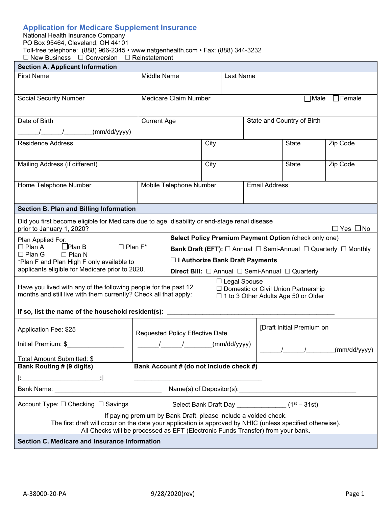# **Application for Medicare Supplement Insurance**

| National Health Insurance Company                                                |
|----------------------------------------------------------------------------------|
| PO Box 95464, Cleveland, OH 44101                                                |
| Toll-free telephone: (888) 966-2345 • www.natgenhealth.com • Fax: (888) 344-3232 |
| $\Box$ New Business $\Box$ Conversion $\Box$ Reinstatement                       |

| <b>Section A. Applicant Information</b>                                                                                                                                                                                                                         |                                 |                                   |  |                                                                                                                                                                                                                                |                          |                                   |  |
|-----------------------------------------------------------------------------------------------------------------------------------------------------------------------------------------------------------------------------------------------------------------|---------------------------------|-----------------------------------|--|--------------------------------------------------------------------------------------------------------------------------------------------------------------------------------------------------------------------------------|--------------------------|-----------------------------------|--|
| <b>First Name</b>                                                                                                                                                                                                                                               | Middle Name<br>Last Name        |                                   |  |                                                                                                                                                                                                                                |                          |                                   |  |
|                                                                                                                                                                                                                                                                 |                                 |                                   |  |                                                                                                                                                                                                                                |                          |                                   |  |
| <b>Social Security Number</b>                                                                                                                                                                                                                                   | Medicare Claim Number           |                                   |  |                                                                                                                                                                                                                                |                          | □Male □Female                     |  |
|                                                                                                                                                                                                                                                                 |                                 |                                   |  |                                                                                                                                                                                                                                |                          |                                   |  |
| Date of Birth                                                                                                                                                                                                                                                   | <b>Current Age</b>              |                                   |  | State and Country of Birth                                                                                                                                                                                                     |                          |                                   |  |
| (mm/dd/yyyy)                                                                                                                                                                                                                                                    |                                 |                                   |  |                                                                                                                                                                                                                                |                          |                                   |  |
| <b>Residence Address</b>                                                                                                                                                                                                                                        |                                 | City                              |  |                                                                                                                                                                                                                                | Zip Code<br><b>State</b> |                                   |  |
|                                                                                                                                                                                                                                                                 |                                 |                                   |  |                                                                                                                                                                                                                                |                          |                                   |  |
| Mailing Address (if different)                                                                                                                                                                                                                                  |                                 | City                              |  | <b>State</b>                                                                                                                                                                                                                   |                          | Zip Code                          |  |
|                                                                                                                                                                                                                                                                 |                                 |                                   |  |                                                                                                                                                                                                                                |                          |                                   |  |
| Home Telephone Number                                                                                                                                                                                                                                           | Mobile Telephone Number         |                                   |  | <b>Email Address</b>                                                                                                                                                                                                           |                          |                                   |  |
|                                                                                                                                                                                                                                                                 |                                 |                                   |  |                                                                                                                                                                                                                                |                          |                                   |  |
| <b>Section B. Plan and Billing Information</b>                                                                                                                                                                                                                  |                                 |                                   |  |                                                                                                                                                                                                                                |                          |                                   |  |
| Did you first become eligible for Medicare due to age, disability or end-stage renal disease<br>prior to January 1, 2020?                                                                                                                                       |                                 |                                   |  |                                                                                                                                                                                                                                |                          | $\Box$ Yes $\Box$ No              |  |
| Plan Applied For:                                                                                                                                                                                                                                               |                                 |                                   |  | Select Policy Premium Payment Option (check only one)                                                                                                                                                                          |                          |                                   |  |
| $\square$ Plan A<br>$D$ Plan B<br>$\square$ Plan $F^*$<br>$\Box$ Plan G<br>$\Box$ Plan N                                                                                                                                                                        |                                 |                                   |  | <b>Bank Draft (EFT):</b> $\Box$ Annual $\Box$ Semi-Annual $\Box$ Quarterly $\Box$ Monthly                                                                                                                                      |                          |                                   |  |
| *Plan F and Plan High F only available to                                                                                                                                                                                                                       |                                 | □ I Authorize Bank Draft Payments |  |                                                                                                                                                                                                                                |                          |                                   |  |
| applicants eligible for Medicare prior to 2020.                                                                                                                                                                                                                 |                                 |                                   |  | <b>Direct Bill:</b> $\Box$ Annual $\Box$ Semi-Annual $\Box$ Quarterly                                                                                                                                                          |                          |                                   |  |
| $\Box$ Legal Spouse<br>Have you lived with any of the following people for the past 12<br>□ Domestic or Civil Union Partnership<br>months and still live with them currently? Check all that apply:<br>$\Box$ 1 to 3 Other Adults Age 50 or Older               |                                 |                                   |  |                                                                                                                                                                                                                                |                          |                                   |  |
| If so, list the name of the household resident(s): ____                                                                                                                                                                                                         |                                 |                                   |  |                                                                                                                                                                                                                                |                          |                                   |  |
| Application Fee: \$25                                                                                                                                                                                                                                           | Requested Policy Effective Date |                                   |  | [Draft Initial Premium on                                                                                                                                                                                                      |                          |                                   |  |
| Initial Premium: \$                                                                                                                                                                                                                                             | (mm/dd/yyyy)<br>$\sqrt{2}$      |                                   |  |                                                                                                                                                                                                                                |                          |                                   |  |
|                                                                                                                                                                                                                                                                 |                                 |                                   |  |                                                                                                                                                                                                                                |                          | /________/___________(mm/dd/yyyy) |  |
| Total Amount Submitted: \$<br>Bank Account # (do not include check #)<br><b>Bank Routing # (9 digits)</b>                                                                                                                                                       |                                 |                                   |  |                                                                                                                                                                                                                                |                          |                                   |  |
|                                                                                                                                                                                                                                                                 |                                 |                                   |  |                                                                                                                                                                                                                                |                          |                                   |  |
|                                                                                                                                                                                                                                                                 |                                 |                                   |  | Name(s) of Depositor(s): Name (s) and the state of the state of the state of the state of the state of the state of the state of the state of the state of the state of the state of the state of the state of the state of th |                          |                                   |  |
| Account Type: □ Checking □ Savings                                                                                                                                                                                                                              |                                 |                                   |  | Select Bank Draft Day _________________(1 <sup>st</sup> - 31st)                                                                                                                                                                |                          |                                   |  |
| If paying premium by Bank Draft, please include a voided check.<br>The first draft will occur on the date your application is approved by NHIC (unless specified otherwise).<br>All Checks will be processed as EFT (Electronic Funds Transfer) from your bank. |                                 |                                   |  |                                                                                                                                                                                                                                |                          |                                   |  |
| Section C. Medicare and Insurance Information                                                                                                                                                                                                                   |                                 |                                   |  |                                                                                                                                                                                                                                |                          |                                   |  |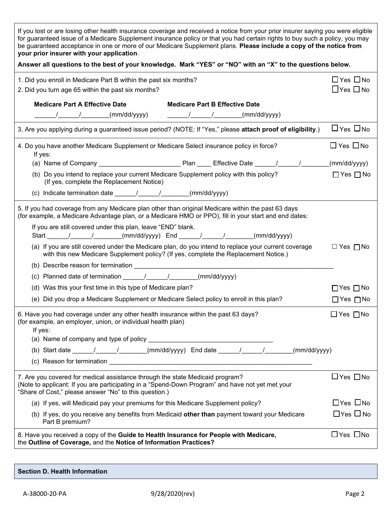| If you lost or are losing other health insurance coverage and received a notice from your prior insurer saying you were eligible<br>for guaranteed issue of a Medicare Supplement insurance policy or that you had certain rights to buy such a policy, you may<br>be guaranteed acceptance in one or more of our Medicare Supplement plans. Please include a copy of the notice from<br>your prior insurer with your application. |                                              |
|------------------------------------------------------------------------------------------------------------------------------------------------------------------------------------------------------------------------------------------------------------------------------------------------------------------------------------------------------------------------------------------------------------------------------------|----------------------------------------------|
| Answer all questions to the best of your knowledge. Mark "YES" or "NO" with an "X" to the questions below.                                                                                                                                                                                                                                                                                                                         |                                              |
| 1. Did you enroll in Medicare Part B within the past six months?<br>2. Did you turn age 65 within the past six months?                                                                                                                                                                                                                                                                                                             | $\Box$ Yes $\Box$ No<br>$\Box$ Yes $\Box$ No |
| <b>Medicare Part A Effective Date</b><br><b>Medicare Part B Effective Date</b><br>/   /    (mm/dd/yyyy)       /    /<br>_(mm/dd/yyyy)                                                                                                                                                                                                                                                                                              |                                              |
| 3. Are you applying during a guaranteed issue period? (NOTE: If "Yes," please attach proof of eligibility.)                                                                                                                                                                                                                                                                                                                        | $\Box$ Yes $\Box$ No                         |
| 4. Do you have another Medicare Supplement or Medicare Select insurance policy in force?<br>If yes:                                                                                                                                                                                                                                                                                                                                | $\Box$ Yes $\Box$ No                         |
|                                                                                                                                                                                                                                                                                                                                                                                                                                    | (mm/dd/yyyy)                                 |
| (b) Do you intend to replace your current Medicare Supplement policy with this policy?<br>(If yes, complete the Replacement Notice)                                                                                                                                                                                                                                                                                                | $\Box$ Yes $\Box$ No                         |
| (c) Indicate termination date $\frac{1}{\sqrt{2\pi}}$ / $\frac{1}{\sqrt{2\pi}}$ (mm/dd/yyyy)                                                                                                                                                                                                                                                                                                                                       |                                              |
| 5. If you had coverage from any Medicare plan other than original Medicare within the past 63 days<br>(for example, a Medicare Advantage plan, or a Medicare HMO or PPO), fill in your start and end dates:<br>If you are still covered under this plan, leave "END" blank.                                                                                                                                                        |                                              |
|                                                                                                                                                                                                                                                                                                                                                                                                                                    |                                              |
| (a) If you are still covered under the Medicare plan, do you intend to replace your current coverage<br>with this new Medicare Supplement policy? (If yes, complete the Replacement Notice.)                                                                                                                                                                                                                                       | $\Box$ Yes $\Box$ No                         |
|                                                                                                                                                                                                                                                                                                                                                                                                                                    |                                              |
| (c) Planned date of termination $\frac{1}{\sqrt{2}}$ / $\frac{1}{\sqrt{2}}$ (mm/dd/yyyy)                                                                                                                                                                                                                                                                                                                                           |                                              |
| (d) Was this your first time in this type of Medicare plan?                                                                                                                                                                                                                                                                                                                                                                        | $\Box$ Yes $\Box$ No                         |
| (e) Did you drop a Medicare Supplement or Medicare Select policy to enroll in this plan?                                                                                                                                                                                                                                                                                                                                           | $\Box$ Yes $\Box$ No                         |
| 6. Have you had coverage under any other health insurance within the past 63 days?<br>(for example, an employer, union, or individual health plan)<br>If yes:                                                                                                                                                                                                                                                                      | $\Box$ Yes $\Box$ No                         |
|                                                                                                                                                                                                                                                                                                                                                                                                                                    |                                              |
| (b) Start date $\frac{1}{\sqrt{2\pi}}$ / $\frac{1}{\sqrt{2\pi}}$ (mm/dd/yyyy) End date $\frac{1}{\sqrt{2\pi}}$ / $\frac{1}{\sqrt{2\pi}}$ (mm/dd/yyyy)                                                                                                                                                                                                                                                                              |                                              |
|                                                                                                                                                                                                                                                                                                                                                                                                                                    |                                              |
| 7. Are you covered for medical assistance through the state Medicaid program?<br>(Note to applicant: If you are participating in a "Spend-Down Program" and have not yet met your<br>"Share of Cost," please answer "No" to this question.)                                                                                                                                                                                        | $\Box$ Yes $\Box$ No                         |
| (a) If yes, will Medicaid pay your premiums for this Medicare Supplement policy?                                                                                                                                                                                                                                                                                                                                                   | $\Box$ Yes $\Box$ No                         |
| (b) If yes, do you receive any benefits from Medicaid other than payment toward your Medicare<br>Part B premium?                                                                                                                                                                                                                                                                                                                   | $\Box$ Yes $\Box$ No                         |
| 8. Have you received a copy of the Guide to Health Insurance for People with Medicare,<br>the Outline of Coverage, and the Notice of Information Practices?                                                                                                                                                                                                                                                                        | $\Box$ Yes $\Box$ No                         |

| Section D. Health Information |  |  |  |  |
|-------------------------------|--|--|--|--|
|-------------------------------|--|--|--|--|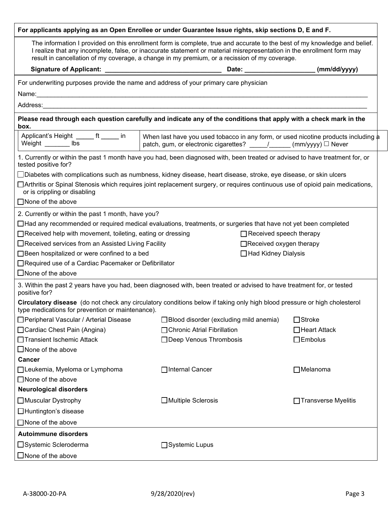| For applicants applying as an Open Enrollee or under Guarantee Issue rights, skip sections D, E and F.                                                                                                                                                                                                                                               |                                                                                                                                                            |                       |  |  |  |  |
|------------------------------------------------------------------------------------------------------------------------------------------------------------------------------------------------------------------------------------------------------------------------------------------------------------------------------------------------------|------------------------------------------------------------------------------------------------------------------------------------------------------------|-----------------------|--|--|--|--|
| The information I provided on this enrollment form is complete, true and accurate to the best of my knowledge and belief.<br>I realize that any incomplete, false, or inaccurate statement or material misrepresentation in the enrollment form may<br>result in cancellation of my coverage, a change in my premium, or a recission of my coverage. |                                                                                                                                                            |                       |  |  |  |  |
|                                                                                                                                                                                                                                                                                                                                                      |                                                                                                                                                            |                       |  |  |  |  |
| For underwriting purposes provide the name and address of your primary care physician                                                                                                                                                                                                                                                                |                                                                                                                                                            |                       |  |  |  |  |
|                                                                                                                                                                                                                                                                                                                                                      |                                                                                                                                                            |                       |  |  |  |  |
|                                                                                                                                                                                                                                                                                                                                                      |                                                                                                                                                            |                       |  |  |  |  |
| box.                                                                                                                                                                                                                                                                                                                                                 | Please read through each question carefully and indicate any of the conditions that apply with a check mark in the                                         |                       |  |  |  |  |
| Applicant's Height ______ ft _____ in<br>Weight ________ lbs                                                                                                                                                                                                                                                                                         | When last have you used tobacco in any form, or used nicotine products including a<br>patch, gum, or electronic cigarettes? _____/______ (mm/yyyy) □ Never |                       |  |  |  |  |
| tested positive for?                                                                                                                                                                                                                                                                                                                                 | 1. Currently or within the past 1 month have you had, been diagnosed with, been treated or advised to have treatment for, or                               |                       |  |  |  |  |
|                                                                                                                                                                                                                                                                                                                                                      | $\Box$ Diabetes with complications such as numbness, kidney disease, heart disease, stroke, eye disease, or skin ulcers                                    |                       |  |  |  |  |
| or is crippling or disabling                                                                                                                                                                                                                                                                                                                         | □ Arthritis or Spinal Stenosis which requires joint replacement surgery, or requires continuous use of opioid pain medications,                            |                       |  |  |  |  |
| $\Box$ None of the above                                                                                                                                                                                                                                                                                                                             |                                                                                                                                                            |                       |  |  |  |  |
| 2. Currently or within the past 1 month, have you?                                                                                                                                                                                                                                                                                                   |                                                                                                                                                            |                       |  |  |  |  |
|                                                                                                                                                                                                                                                                                                                                                      | $\Box$ Had any recommended or required medical evaluations, treatments, or surgeries that have not yet been completed                                      |                       |  |  |  |  |
| □Received help with movement, toileting, eating or dressing                                                                                                                                                                                                                                                                                          | $\Box$ Received speech therapy                                                                                                                             |                       |  |  |  |  |
| □Received services from an Assisted Living Facility<br>□Received oxygen therapy                                                                                                                                                                                                                                                                      |                                                                                                                                                            |                       |  |  |  |  |
| □ Been hospitalized or were confined to a bed<br>□ Had Kidney Dialysis<br>□Required use of a Cardiac Pacemaker or Defibrillator                                                                                                                                                                                                                      |                                                                                                                                                            |                       |  |  |  |  |
| $\square$ None of the above                                                                                                                                                                                                                                                                                                                          |                                                                                                                                                            |                       |  |  |  |  |
| positive for?                                                                                                                                                                                                                                                                                                                                        | 3. Within the past 2 years have you had, been diagnosed with, been treated or advised to have treatment for, or tested                                     |                       |  |  |  |  |
| type medications for prevention or maintenance).                                                                                                                                                                                                                                                                                                     | Circulatory disease (do not check any circulatory conditions below if taking only high blood pressure or high cholesterol                                  |                       |  |  |  |  |
| □ Peripheral Vascular / Arterial Disease                                                                                                                                                                                                                                                                                                             | $\Box$ Blood disorder (excluding mild anemia)                                                                                                              | $\Box$ Stroke         |  |  |  |  |
| □ Cardiac Chest Pain (Angina)                                                                                                                                                                                                                                                                                                                        | □ Chronic Atrial Fibrillation                                                                                                                              | $\Box$ Heart Attack   |  |  |  |  |
| □ Transient Ischemic Attack                                                                                                                                                                                                                                                                                                                          | □ Deep Venous Thrombosis                                                                                                                                   | $\Box$ Embolus        |  |  |  |  |
| $\square$ None of the above                                                                                                                                                                                                                                                                                                                          |                                                                                                                                                            |                       |  |  |  |  |
| <b>Cancer</b>                                                                                                                                                                                                                                                                                                                                        |                                                                                                                                                            |                       |  |  |  |  |
| □Leukemia, Myeloma or Lymphoma                                                                                                                                                                                                                                                                                                                       | □Internal Cancer                                                                                                                                           | $\Box$ Melanoma       |  |  |  |  |
| $\Box$ None of the above                                                                                                                                                                                                                                                                                                                             |                                                                                                                                                            |                       |  |  |  |  |
| <b>Neurological disorders</b>                                                                                                                                                                                                                                                                                                                        |                                                                                                                                                            |                       |  |  |  |  |
| □ Muscular Dystrophy                                                                                                                                                                                                                                                                                                                                 | □ Multiple Sclerosis                                                                                                                                       | □ Transverse Myelitis |  |  |  |  |
| □Huntington's disease                                                                                                                                                                                                                                                                                                                                |                                                                                                                                                            |                       |  |  |  |  |
| □ None of the above                                                                                                                                                                                                                                                                                                                                  |                                                                                                                                                            |                       |  |  |  |  |
| <b>Autoimmune disorders</b>                                                                                                                                                                                                                                                                                                                          |                                                                                                                                                            |                       |  |  |  |  |
| □Systemic Scleroderma<br>□Systemic Lupus                                                                                                                                                                                                                                                                                                             |                                                                                                                                                            |                       |  |  |  |  |
| $\square$ None of the above                                                                                                                                                                                                                                                                                                                          |                                                                                                                                                            |                       |  |  |  |  |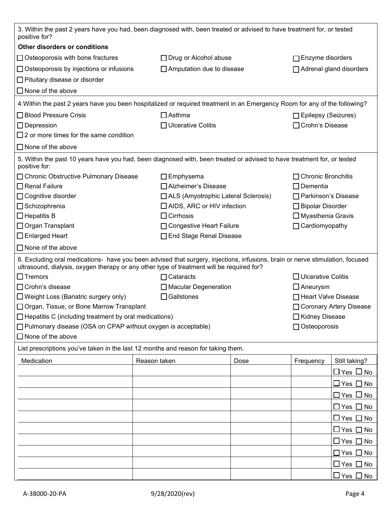| 3. Within the past 2 years have you had, been diagnosed with, been treated or advised to have treatment for, or tested<br>positive for?                                                                                    |                   |                                       |                       |                                |                           |  |
|----------------------------------------------------------------------------------------------------------------------------------------------------------------------------------------------------------------------------|-------------------|---------------------------------------|-----------------------|--------------------------------|---------------------------|--|
| Other disorders or conditions                                                                                                                                                                                              |                   |                                       |                       |                                |                           |  |
| $\Box$ Osteoporosis with bone fractures                                                                                                                                                                                    |                   | $\Box$ Drug or Alcohol abuse          |                       | $\Box$ Enzyme disorders        |                           |  |
| $\Box$ Osteoporosis by injections or infusions                                                                                                                                                                             |                   | $\Box$ Amputation due to disease      |                       | $\Box$ Adrenal gland disorders |                           |  |
| $\Box$ Pituitary disease or disorder                                                                                                                                                                                       |                   |                                       |                       |                                |                           |  |
| $\Box$ None of the above                                                                                                                                                                                                   |                   |                                       |                       |                                |                           |  |
| 4. Within the past 2 years have you been hospitalized or required treatment in an Emergency Room for any of the following?                                                                                                 |                   |                                       |                       |                                |                           |  |
| □ Blood Pressure Crisis                                                                                                                                                                                                    |                   | $\square$ Asthma                      |                       | □ Epilepsy (Seizures)          |                           |  |
| $\Box$ Depression                                                                                                                                                                                                          |                   | $\Box$ Ulcerative Colitis             |                       | □ Crohn's Disease              |                           |  |
| $\Box$ 2 or more times for the same condition                                                                                                                                                                              |                   |                                       |                       |                                |                           |  |
| $\Box$ None of the above                                                                                                                                                                                                   |                   |                                       |                       |                                |                           |  |
| 5. Within the past 10 years have you had, been diagnosed with, been treated or advised to have treatment for, or tested<br>positive for:                                                                                   |                   |                                       |                       |                                |                           |  |
| □ Chronic Obstructive Pulmonary Disease                                                                                                                                                                                    |                   | $\Box$ Emphysema                      |                       | Chronic Bronchitis             |                           |  |
| $\Box$ Renal Failure                                                                                                                                                                                                       |                   | □ Alzheimer's Disease                 |                       | $\Box$ Dementia                |                           |  |
| □ Cognitive disorder                                                                                                                                                                                                       |                   | □ ALS (Amyotrophic Lateral Sclerosis) |                       | □ Parkinson's Disease          |                           |  |
| □ Schizophrenia                                                                                                                                                                                                            |                   | $\Box$ AIDS, ARC or HIV infection     |                       | $\Box$ Bipolar Disorder        |                           |  |
| $\Box$ Hepatitis B                                                                                                                                                                                                         |                   | $\Box$ Cirrhosis                      |                       | $\Box$ Myasthenia Gravis       |                           |  |
| □ Organ Transplant                                                                                                                                                                                                         |                   | □ Congestive Heart Failure            | $\Box$ Cardiomyopathy |                                |                           |  |
| $\Box$ Enlarged Heart                                                                                                                                                                                                      |                   | □ End Stage Renal Disease             |                       |                                |                           |  |
| $\Box$ None of the above                                                                                                                                                                                                   |                   |                                       |                       |                                |                           |  |
| 6. Excluding oral medications- have you been advised that surgery, injections, infusions, brain or nerve stimulation, focused<br>ultrasound, dialysis, oxygen therapy or any other type of treatment will be required for? |                   |                                       |                       |                                |                           |  |
| $\Box$ Tremors                                                                                                                                                                                                             |                   | $\Box$ Cataracts                      |                       | $\Box$ Ulcerative Colitis      |                           |  |
| □ Crohn's disease                                                                                                                                                                                                          |                   | $\Box$ Macular Degeneration           |                       | $\Box$ Aneurysm                |                           |  |
| $\Box$ Weight Loss (Bariatric surgery only)                                                                                                                                                                                | $\Box$ Gallstones |                                       | □ Heart Valve Disease |                                |                           |  |
| □ Organ, Tissue, or Bone Marrow Transplant                                                                                                                                                                                 |                   |                                       |                       |                                | □ Coronary Artery Disease |  |
| $\Box$ Hepatitis C (including treatment by oral medications)                                                                                                                                                               |                   |                                       | □ Kidney Disease      |                                |                           |  |
| □ Pulmonary disease (OSA on CPAP without oxygen is acceptable)                                                                                                                                                             |                   |                                       |                       | □ Osteoporosis                 |                           |  |
| $\Box$ None of the above                                                                                                                                                                                                   |                   |                                       |                       |                                |                           |  |
| List prescriptions you've taken in the last 12 months and reason for taking them.                                                                                                                                          |                   |                                       |                       |                                |                           |  |
| Medication                                                                                                                                                                                                                 | Reason taken      |                                       | Dose                  | Frequency                      | Still taking?             |  |
|                                                                                                                                                                                                                            |                   |                                       |                       |                                | $\Box$ Yes $\Box$ No      |  |
|                                                                                                                                                                                                                            |                   |                                       |                       |                                | $\Box$ Yes $\Box$ No      |  |
|                                                                                                                                                                                                                            |                   |                                       |                       |                                | $\Box$ Yes $\Box$ No      |  |
|                                                                                                                                                                                                                            |                   |                                       |                       |                                | $\Box$ Yes $\Box$ No      |  |
|                                                                                                                                                                                                                            |                   |                                       |                       |                                | $\Box$ Yes $\Box$ No      |  |
|                                                                                                                                                                                                                            |                   |                                       |                       |                                | $\Box$ Yes $\Box$ No      |  |
|                                                                                                                                                                                                                            |                   |                                       |                       |                                | $\Box$ Yes $\Box$ No      |  |
|                                                                                                                                                                                                                            |                   |                                       |                       |                                | $\Box$ Yes $\Box$ No      |  |
|                                                                                                                                                                                                                            |                   |                                       |                       |                                | $\Box$ Yes $\Box$ No      |  |
|                                                                                                                                                                                                                            |                   |                                       |                       |                                | $\Box$ Yes $\Box$ No      |  |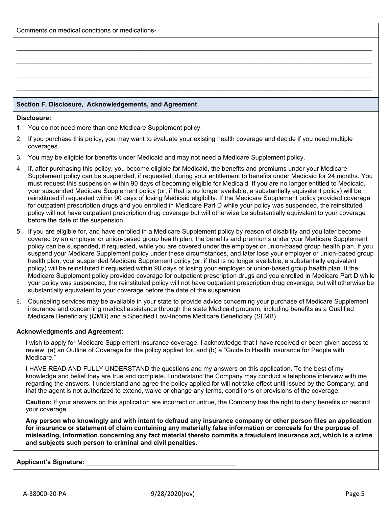Comments on medical conditions or medications-

## **Section F. Disclosure, Acknowledgements, and Agreement**

#### **Disclosure:**

- 1. You do not need more than one Medicare Supplement policy.
- 2. If you purchase this policy, you may want to evaluate your existing health coverage and decide if you need multiple coverages.

 $\_$  ,  $\_$  ,  $\_$  ,  $\_$  ,  $\_$  ,  $\_$  ,  $\_$  ,  $\_$  ,  $\_$  ,  $\_$  ,  $\_$  ,  $\_$  ,  $\_$  ,  $\_$  ,  $\_$  ,  $\_$  ,  $\_$  ,  $\_$  ,  $\_$  ,  $\_$  ,  $\_$  ,  $\_$  ,  $\_$  ,  $\_$  ,  $\_$  ,  $\_$  ,  $\_$  ,  $\_$  ,  $\_$  ,  $\_$  ,  $\_$  ,  $\_$  ,  $\_$  ,  $\_$  ,  $\_$  ,  $\_$  ,  $\_$  ,

 $\_$  ,  $\_$  ,  $\_$  ,  $\_$  ,  $\_$  ,  $\_$  ,  $\_$  ,  $\_$  ,  $\_$  ,  $\_$  ,  $\_$  ,  $\_$  ,  $\_$  ,  $\_$  ,  $\_$  ,  $\_$  ,  $\_$  ,  $\_$  ,  $\_$  ,  $\_$  ,  $\_$  ,  $\_$  ,  $\_$  ,  $\_$  ,  $\_$  ,  $\_$  ,  $\_$  ,  $\_$  ,  $\_$  ,  $\_$  ,  $\_$  ,  $\_$  ,  $\_$  ,  $\_$  ,  $\_$  ,  $\_$  ,  $\_$  ,

 $\bot$  , and the set of the set of the set of the set of the set of the set of the set of the set of the set of the set of the set of the set of the set of the set of the set of the set of the set of the set of the set of t

 $\bot$  , and the set of the set of the set of the set of the set of the set of the set of the set of the set of the set of the set of the set of the set of the set of the set of the set of the set of the set of the set of t

- 3. You may be eligible for benefits under Medicaid and may not need a Medicare Supplement policy.
- 4. If, after purchasing this policy, you become eligible for Medicaid, the benefits and premiums under your Medicare Supplement policy can be suspended, if requested, during your entitlement to benefits under Medicaid for 24 months. You must request this suspension within 90 days of becoming eligible for Medicaid. If you are no longer entitled to Medicaid, your suspended Medicare Supplement policy (or, if that is no longer available, a substantially equivalent policy) will be reinstituted if requested within 90 days of losing Medicaid eligibility. If the Medicare Supplement policy provided coverage for outpatient prescription drugs and you enrolled in Medicare Part D while your policy was suspended, the reinstituted policy will not have outpatient prescription drug coverage but will otherwise be substantially equivalent to your coverage before the date of the suspension.
- 5. If you are eligible for, and have enrolled in a Medicare Supplement policy by reason of disability and you later become covered by an employer or union-based group health plan, the benefits and premiums under your Medicare Supplement policy can be suspended, if requested, while you are covered under the employer or union-based group health plan. If you suspend your Medicare Supplement policy under these circumstances, and later lose your employer or union-based group health plan, your suspended Medicare Supplement policy (or, if that is no longer available, a substantially equivalent policy) will be reinstituted if requested within 90 days of losing your employer or union-based group health plan. If the Medicare Supplement policy provided coverage for outpatient prescription drugs and you enrolled in Medicare Part D while your policy was suspended, the reinstituted policy will not have outpatient prescription drug coverage, but will otherwise be substantially equivalent to your coverage before the date of the suspension.
- 6. Counseling services may be available in your state to provide advice concerning your purchase of Medicare Supplement insurance and concerning medical assistance through the state Medicaid program, including benefits as a Qualified Medicare Beneficiary (QMB) and a Specified Low-Income Medicare Beneficiary (SLMB).

### **Acknowledgments and Agreement:**

I wish to apply for Medicare Supplement insurance coverage. I acknowledge that I have received or been given access to review: (a) an Outline of Coverage for the policy applied for, and (b) a "Guide to Health Insurance for People with Medicare."

I HAVE READ AND FULLY UNDERSTAND the questions and my answers on this application. To the best of my knowledge and belief they are true and complete. I understand the Company may conduct a telephone interview with me regarding the answers. I understand and agree the policy applied for will not take effect until issued by the Company, and that the agent is not authorized to extend, waive or change any terms, conditions or provisions of the coverage.

**Caution:** If your answers on this application are incorrect or untrue, the Company has the right to deny benefits or rescind your coverage.

**Any person who knowingly and with intent to defraud any insurance company or other person files an application for insurance or statement of claim containing any materially false information or conceals for the purpose of misleading, information concerning any fact material thereto commits a fraudulent insurance act, which is a crime and subjects such person to criminal and civil penalties.** 

### **Applicant's Signature: \_\_\_\_\_\_\_\_\_\_\_\_\_\_\_\_\_\_\_\_\_\_\_\_\_\_\_\_\_\_\_\_\_\_\_\_\_\_\_\_\_\_**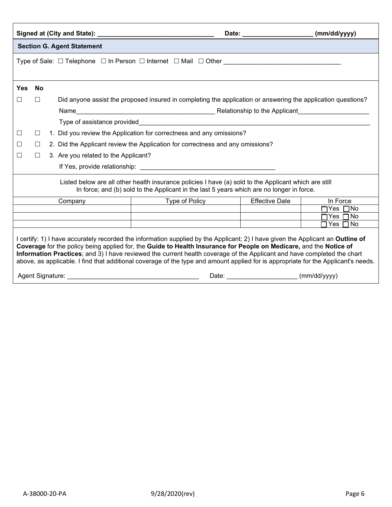|                                                                                                                                                                                                                                                                                                                                                                                                                                                                                                                        |                                                                                                     |  |                                      |                                                                                                                                                                                                    | Date: ________________________ | (mm/dd/yyyy)                    |  |  |  |
|------------------------------------------------------------------------------------------------------------------------------------------------------------------------------------------------------------------------------------------------------------------------------------------------------------------------------------------------------------------------------------------------------------------------------------------------------------------------------------------------------------------------|-----------------------------------------------------------------------------------------------------|--|--------------------------------------|----------------------------------------------------------------------------------------------------------------------------------------------------------------------------------------------------|--------------------------------|---------------------------------|--|--|--|
|                                                                                                                                                                                                                                                                                                                                                                                                                                                                                                                        | <b>Section G. Agent Statement</b>                                                                   |  |                                      |                                                                                                                                                                                                    |                                |                                 |  |  |  |
|                                                                                                                                                                                                                                                                                                                                                                                                                                                                                                                        | Type of Sale: □ Telephone □ In Person □ Internet □ Mail □ Other ___________________________________ |  |                                      |                                                                                                                                                                                                    |                                |                                 |  |  |  |
|                                                                                                                                                                                                                                                                                                                                                                                                                                                                                                                        |                                                                                                     |  |                                      |                                                                                                                                                                                                    |                                |                                 |  |  |  |
| <b>Yes</b>                                                                                                                                                                                                                                                                                                                                                                                                                                                                                                             | <b>No</b>                                                                                           |  |                                      |                                                                                                                                                                                                    |                                |                                 |  |  |  |
| П                                                                                                                                                                                                                                                                                                                                                                                                                                                                                                                      | П                                                                                                   |  |                                      | Did anyone assist the proposed insured in completing the application or answering the application questions?                                                                                       |                                |                                 |  |  |  |
|                                                                                                                                                                                                                                                                                                                                                                                                                                                                                                                        |                                                                                                     |  |                                      |                                                                                                                                                                                                    |                                |                                 |  |  |  |
|                                                                                                                                                                                                                                                                                                                                                                                                                                                                                                                        |                                                                                                     |  |                                      |                                                                                                                                                                                                    |                                |                                 |  |  |  |
| $\Box$                                                                                                                                                                                                                                                                                                                                                                                                                                                                                                                 | 1. Did you review the Application for correctness and any omissions?<br>ш                           |  |                                      |                                                                                                                                                                                                    |                                |                                 |  |  |  |
| $\Box$                                                                                                                                                                                                                                                                                                                                                                                                                                                                                                                 | 2. Did the Applicant review the Application for correctness and any omissions?<br>$\Box$            |  |                                      |                                                                                                                                                                                                    |                                |                                 |  |  |  |
| П                                                                                                                                                                                                                                                                                                                                                                                                                                                                                                                      | $\Box$                                                                                              |  | 3. Are you related to the Applicant? |                                                                                                                                                                                                    |                                |                                 |  |  |  |
|                                                                                                                                                                                                                                                                                                                                                                                                                                                                                                                        |                                                                                                     |  |                                      |                                                                                                                                                                                                    |                                |                                 |  |  |  |
|                                                                                                                                                                                                                                                                                                                                                                                                                                                                                                                        |                                                                                                     |  |                                      | Listed below are all other health insurance policies I have (a) sold to the Applicant which are still<br>In force; and (b) sold to the Applicant in the last 5 years which are no longer in force. |                                |                                 |  |  |  |
|                                                                                                                                                                                                                                                                                                                                                                                                                                                                                                                        |                                                                                                     |  | Company                              | Type of Policy Type of Policy                                                                                                                                                                      | <b>Effective Date</b>          | In Force                        |  |  |  |
|                                                                                                                                                                                                                                                                                                                                                                                                                                                                                                                        |                                                                                                     |  |                                      |                                                                                                                                                                                                    |                                | $\Box$ Yes $\Box$ No            |  |  |  |
|                                                                                                                                                                                                                                                                                                                                                                                                                                                                                                                        |                                                                                                     |  |                                      |                                                                                                                                                                                                    |                                | Yes □No<br>Yes $\Gamma$<br>l No |  |  |  |
|                                                                                                                                                                                                                                                                                                                                                                                                                                                                                                                        |                                                                                                     |  |                                      |                                                                                                                                                                                                    |                                |                                 |  |  |  |
| I certify: 1) I have accurately recorded the information supplied by the Applicant; 2) I have given the Applicant an Outline of<br>Coverage for the policy being applied for, the Guide to Health Insurance for People on Medicare, and the Notice of<br>Information Practices; and 3) I have reviewed the current health coverage of the Applicant and have completed the chart<br>above, as applicable. I find that additional coverage of the type and amount applied for is appropriate for the Applicant's needs. |                                                                                                     |  |                                      |                                                                                                                                                                                                    |                                |                                 |  |  |  |
|                                                                                                                                                                                                                                                                                                                                                                                                                                                                                                                        | Date: (mm/dd/yyyy)<br>Agent Signature: Agent Signature:                                             |  |                                      |                                                                                                                                                                                                    |                                |                                 |  |  |  |